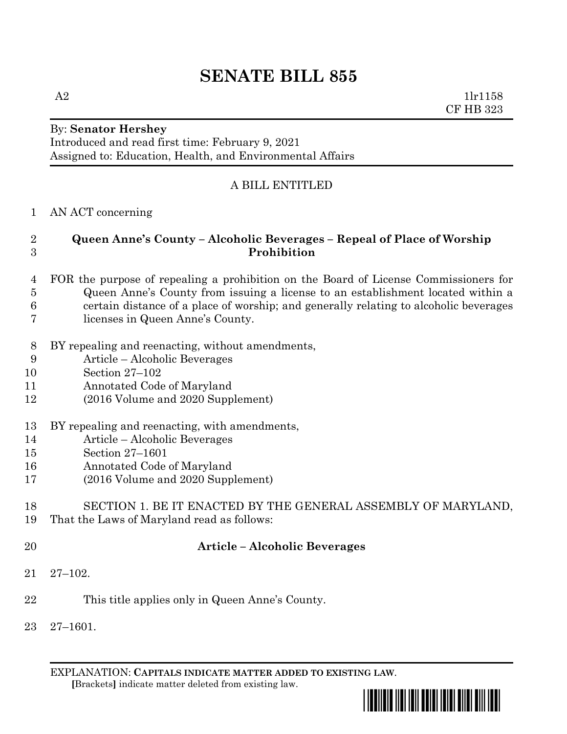## **SENATE BILL 855**

 $A2$  1lr1158 CF HB 323

### By: **Senator Hershey**

Introduced and read first time: February 9, 2021 Assigned to: Education, Health, and Environmental Affairs

#### A BILL ENTITLED

#### AN ACT concerning

#### **Queen Anne's County – Alcoholic Beverages – Repeal of Place of Worship Prohibition**

- FOR the purpose of repealing a prohibition on the Board of License Commissioners for Queen Anne's County from issuing a license to an establishment located within a certain distance of a place of worship; and generally relating to alcoholic beverages licenses in Queen Anne's County.
- BY repealing and reenacting, without amendments,
- Article Alcoholic Beverages
- Section 27–102
- Annotated Code of Maryland
- (2016 Volume and 2020 Supplement)
- BY repealing and reenacting, with amendments,
- Article Alcoholic Beverages
- Section 27–1601
- Annotated Code of Maryland
- (2016 Volume and 2020 Supplement)

# SECTION 1. BE IT ENACTED BY THE GENERAL ASSEMBLY OF MARYLAND,

- That the Laws of Maryland read as follows:
- 

#### **Article – Alcoholic Beverages**

- 27–102.
- This title applies only in Queen Anne's County.
- 27–1601.

EXPLANATION: **CAPITALS INDICATE MATTER ADDED TO EXISTING LAW**.  **[**Brackets**]** indicate matter deleted from existing law.